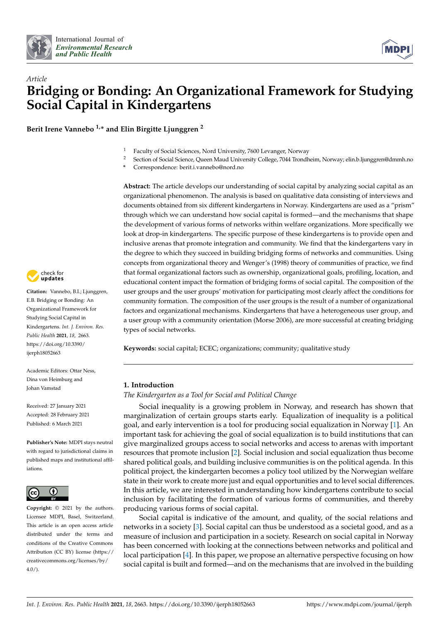



# *Article* **Bridging or Bonding: An Organizational Framework for Studying Social Capital in Kindergartens**

**Berit Irene Vannebo 1,\* and Elin Birgitte Ljunggren <sup>2</sup>**

- <sup>1</sup> Faculty of Social Sciences, Nord University, 7600 Levanger, Norway<br><sup>2</sup> Socion of Social Science, Queen Maud University College 7044 Trondh
- <sup>2</sup> Section of Social Science, Queen Maud University College, 7044 Trondheim, Norway; elin.b.ljunggren@dmmh.no
- **\*** Correspondence: berit.i.vannebo@nord.no

**Abstract:** The article develops our understanding of social capital by analyzing social capital as an organizational phenomenon. The analysis is based on qualitative data consisting of interviews and documents obtained from six different kindergartens in Norway. Kindergartens are used as a "prism" through which we can understand how social capital is formed—and the mechanisms that shape the development of various forms of networks within welfare organizations. More specifically we look at drop-in kindergartens. The specific purpose of these kindergartens is to provide open and inclusive arenas that promote integration and community. We find that the kindergartens vary in the degree to which they succeed in building bridging forms of networks and communities. Using concepts from organizational theory and Wenger's (1998) theory of communities of practice, we find that formal organizational factors such as ownership, organizational goals, profiling, location, and educational content impact the formation of bridging forms of social capital. The composition of the user groups and the user groups' motivation for participating most clearly affect the conditions for community formation. The composition of the user groups is the result of a number of organizational factors and organizational mechanisms. Kindergartens that have a heterogeneous user group, and a user group with a community orientation (Morse 2006), are more successful at creating bridging types of social networks.

**Keywords:** social capital; ECEC; organizations; community; qualitative study

## **1. Introduction**

*The Kindergarten as a Tool for Social and Political Change*

Social inequality is a growing problem in Norway, and research has shown that marginalization of certain groups starts early. Equalization of inequality is a political goal, and early intervention is a tool for producing social equalization in Norway [\[1\]](#page-22-0). An important task for achieving the goal of social equalization is to build institutions that can give marginalized groups access to social networks and access to arenas with important resources that promote inclusion [\[2\]](#page-22-1). Social inclusion and social equalization thus become shared political goals, and building inclusive communities is on the political agenda. In this political project, the kindergarten becomes a policy tool utilized by the Norwegian welfare state in their work to create more just and equal opportunities and to level social differences. In this article, we are interested in understanding how kindergartens contribute to social inclusion by facilitating the formation of various forms of communities, and thereby producing various forms of social capital.

Social capital is indicative of the amount, and quality, of the social relations and networks in a society [\[3\]](#page-22-2). Social capital can thus be understood as a societal good, and as a measure of inclusion and participation in a society. Research on social capital in Norway has been concerned with looking at the connections between networks and political and local participation [\[4\]](#page-22-3). In this paper, we propose an alternative perspective focusing on how social capital is built and formed—and on the mechanisms that are involved in the building



**Citation:** Vannebo, B.I.; Ljunggren, E.B. Bridging or Bonding: An Organizational Framework for Studying Social Capital in Kindergartens. *Int. J. Environ. Res. Public Health* **2021**, *18*, 2663. [https://doi.org/10.3390/](https://doi.org/10.3390/ijerph18052663) [ijerph18052663](https://doi.org/10.3390/ijerph18052663)

Academic Editors: Ottar Ness, Dina von Heimburg and Johan Vamstad

Received: 27 January 2021 Accepted: 28 February 2021 Published: 6 March 2021

**Publisher's Note:** MDPI stays neutral with regard to jurisdictional claims in published maps and institutional affiliations.



**Copyright:** © 2021 by the authors. Licensee MDPI, Basel, Switzerland. This article is an open access article distributed under the terms and conditions of the Creative Commons Attribution (CC BY) license (https:/[/](https://creativecommons.org/licenses/by/4.0/) [creativecommons.org/licenses/by/](https://creativecommons.org/licenses/by/4.0/)  $4.0/$ ).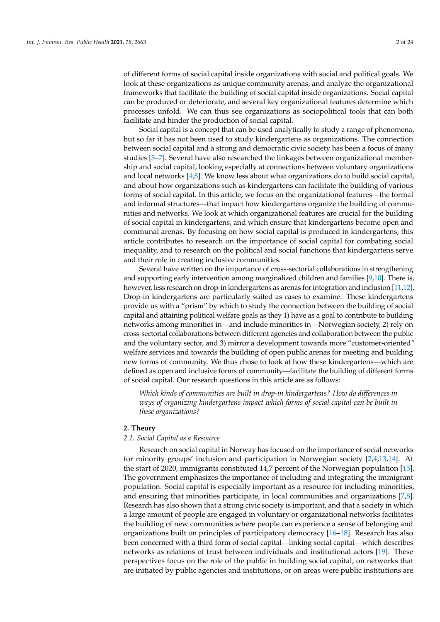of different forms of social capital inside organizations with social and political goals. We look at these organizations as unique community arenas, and analyze the organizational frameworks that facilitate the building of social capital inside organizations. Social capital can be produced or deteriorate, and several key organizational features determine which processes unfold. We can thus see organizations as sociopolitical tools that can both facilitate and hinder the production of social capital.

Social capital is a concept that can be used analytically to study a range of phenomena, but so far it has not been used to study kindergartens as organizations. The connection between social capital and a strong and democratic civic society has been a focus of many studies [\[5–](#page-22-4)[7\]](#page-22-5). Several have also researched the linkages between organizational membership and social capital, looking especially at connections between voluntary organizations and local networks  $[4,8]$  $[4,8]$ . We know less about what organizations do to build social capital, and about how organizations such as kindergartens can facilitate the building of various forms of social capital. In this article, we focus on the organizational features—the formal and informal structures—that impact how kindergartens organize the building of communities and networks. We look at which organizational features are crucial for the building of social capital in kindergartens, and which ensure that kindergartens become open and communal arenas. By focusing on how social capital is produced in kindergartens, this article contributes to research on the importance of social capital for combating social inequality, and to research on the political and social functions that kindergartens serve and their role in creating inclusive communities.

Several have written on the importance of cross-sectorial collaborations in strengthening and supporting early intervention among marginalized children and families [\[9](#page-22-7)[,10\]](#page-22-8). There is, however, less research on drop-in kindergartens as arenas for integration and inclusion [\[11](#page-22-9)[,12\]](#page-22-10). Drop-in kindergartens are particularly suited as cases to examine. These kindergartens provide us with a "prism" by which to study the connection between the building of social capital and attaining political welfare goals as they 1) have as a goal to contribute to building networks among minorities in—and include minorities in—Norwegian society, 2) rely on cross-sectorial collaborations between different agencies and collaboration between the public and the voluntary sector, and 3) mirror a development towards more "customer-oriented" welfare services and towards the building of open public arenas for meeting and building new forms of community. We thus chose to look at how these kindergartens—which are defined as open and inclusive forms of community—facilitate the building of different forms of social capital. Our research questions in this article are as follows:

*Which kinds of communities are built in drop-in kindergartens? How do differences in ways of organizing kindergartens impact which forms of social capital can be built in these organizations?*

#### **2. Theory**

#### *2.1. Social Capital as a Resource*

Research on social capital in Norway has focused on the importance of social networks for minority groups' inclusion and participation in Norwegian society [\[2](#page-22-1)[,4](#page-22-3)[,13](#page-23-0)[,14\]](#page-23-1). At the start of 2020, immigrants constituted 14,7 percent of the Norwegian population [\[15\]](#page-23-2). The government emphasizes the importance of including and integrating the immigrant population. Social capital is especially important as a resource for including minorities, and ensuring that minorities participate, in local communities and organizations [\[7,](#page-22-5)[8\]](#page-22-6). Research has also shown that a strong civic society is important, and that a society in which a large amount of people are engaged in voluntary or organizational networks facilitates the building of new communities where people can experience a sense of belonging and organizations built on principles of participatory democracy [\[16](#page-23-3)[–18\]](#page-23-4). Research has also been concerned with a third form of social capital—linking social capital—which describes networks as relations of trust between individuals and institutional actors [\[19\]](#page-23-5). These perspectives focus on the role of the public in building social capital, on networks that are initiated by public agencies and institutions, or on areas were public institutions are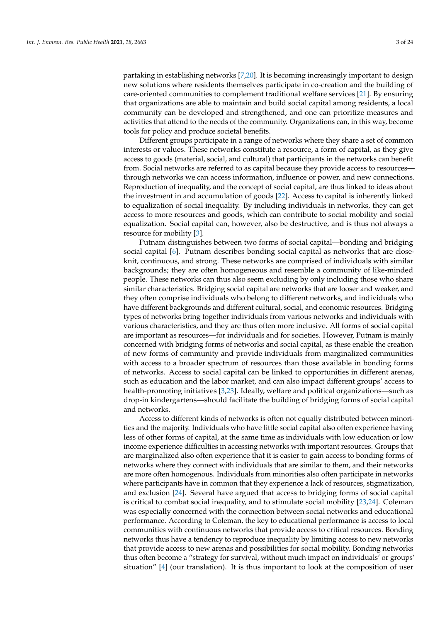partaking in establishing networks [\[7,](#page-22-5)[20\]](#page-23-6). It is becoming increasingly important to design new solutions where residents themselves participate in co-creation and the building of care-oriented communities to complement traditional welfare services [\[21\]](#page-23-7). By ensuring that organizations are able to maintain and build social capital among residents, a local community can be developed and strengthened, and one can prioritize measures and activities that attend to the needs of the community. Organizations can, in this way, become tools for policy and produce societal benefits.

Different groups participate in a range of networks where they share a set of common interests or values. These networks constitute a resource, a form of capital, as they give access to goods (material, social, and cultural) that participants in the networks can benefit from. Social networks are referred to as capital because they provide access to resources through networks we can access information, influence or power, and new connections. Reproduction of inequality, and the concept of social capital, are thus linked to ideas about the investment in and accumulation of goods [\[22\]](#page-23-8). Access to capital is inherently linked to equalization of social inequality. By including individuals in networks, they can get access to more resources and goods, which can contribute to social mobility and social equalization. Social capital can, however, also be destructive, and is thus not always a resource for mobility [\[3\]](#page-22-2).

Putnam distinguishes between two forms of social capital—bonding and bridging social capital [\[6\]](#page-22-11). Putnam describes bonding social capital as networks that are closeknit, continuous, and strong. These networks are comprised of individuals with similar backgrounds; they are often homogeneous and resemble a community of like-minded people. These networks can thus also seem excluding by only including those who share similar characteristics. Bridging social capital are networks that are looser and weaker, and they often comprise individuals who belong to different networks, and individuals who have different backgrounds and different cultural, social, and economic resources. Bridging types of networks bring together individuals from various networks and individuals with various characteristics, and they are thus often more inclusive. All forms of social capital are important as resources—for individuals and for societies. However, Putnam is mainly concerned with bridging forms of networks and social capital, as these enable the creation of new forms of community and provide individuals from marginalized communities with access to a broader spectrum of resources than those available in bonding forms of networks. Access to social capital can be linked to opportunities in different arenas, such as education and the labor market, and can also impact different groups' access to health-promoting initiatives [\[3,](#page-22-2)[23\]](#page-23-9). Ideally, welfare and political organizations—such as drop-in kindergartens—should facilitate the building of bridging forms of social capital and networks.

Access to different kinds of networks is often not equally distributed between minorities and the majority. Individuals who have little social capital also often experience having less of other forms of capital, at the same time as individuals with low education or low income experience difficulties in accessing networks with important resources. Groups that are marginalized also often experience that it is easier to gain access to bonding forms of networks where they connect with individuals that are similar to them, and their networks are more often homogenous. Individuals from minorities also often participate in networks where participants have in common that they experience a lack of resources, stigmatization, and exclusion [\[24\]](#page-23-10). Several have argued that access to bridging forms of social capital is critical to combat social inequality, and to stimulate social mobility [\[23](#page-23-9)[,24\]](#page-23-10). Coleman was especially concerned with the connection between social networks and educational performance. According to Coleman, the key to educational performance is access to local communities with continuous networks that provide access to critical resources. Bonding networks thus have a tendency to reproduce inequality by limiting access to new networks that provide access to new arenas and possibilities for social mobility. Bonding networks thus often become a "strategy for survival, without much impact on individuals' or groups' situation" [\[4\]](#page-22-3) (our translation). It is thus important to look at the composition of user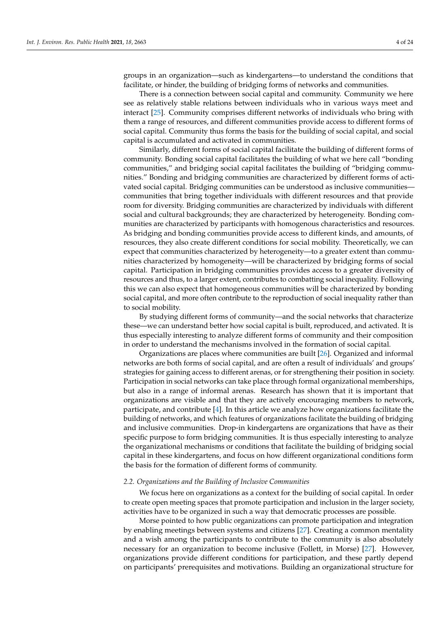groups in an organization—such as kindergartens—to understand the conditions that facilitate, or hinder, the building of bridging forms of networks and communities.

There is a connection between social capital and community. Community we here see as relatively stable relations between individuals who in various ways meet and interact [\[25\]](#page-23-11). Community comprises different networks of individuals who bring with them a range of resources, and different communities provide access to different forms of social capital. Community thus forms the basis for the building of social capital, and social capital is accumulated and activated in communities.

Similarly, different forms of social capital facilitate the building of different forms of community. Bonding social capital facilitates the building of what we here call "bonding communities," and bridging social capital facilitates the building of "bridging communities." Bonding and bridging communities are characterized by different forms of activated social capital. Bridging communities can be understood as inclusive communities communities that bring together individuals with different resources and that provide room for diversity. Bridging communities are characterized by individuals with different social and cultural backgrounds; they are characterized by heterogeneity. Bonding communities are characterized by participants with homogenous characteristics and resources. As bridging and bonding communities provide access to different kinds, and amounts, of resources, they also create different conditions for social mobility. Theoretically, we can expect that communities characterized by heterogeneity—to a greater extent than communities characterized by homogeneity—will be characterized by bridging forms of social capital. Participation in bridging communities provides access to a greater diversity of resources and thus, to a larger extent, contributes to combatting social inequality. Following this we can also expect that homogeneous communities will be characterized by bonding social capital, and more often contribute to the reproduction of social inequality rather than to social mobility.

By studying different forms of community—and the social networks that characterize these—we can understand better how social capital is built, reproduced, and activated. It is thus especially interesting to analyze different forms of community and their composition in order to understand the mechanisms involved in the formation of social capital.

Organizations are places where communities are built [\[26\]](#page-23-12). Organized and informal networks are both forms of social capital, and are often a result of individuals' and groups' strategies for gaining access to different arenas, or for strengthening their position in society. Participation in social networks can take place through formal organizational memberships, but also in a range of informal arenas. Research has shown that it is important that organizations are visible and that they are actively encouraging members to network, participate, and contribute  $[4]$ . In this article we analyze how organizations facilitate the building of networks, and which features of organizations facilitate the building of bridging and inclusive communities. Drop-in kindergartens are organizations that have as their specific purpose to form bridging communities. It is thus especially interesting to analyze the organizational mechanisms or conditions that facilitate the building of bridging social capital in these kindergartens, and focus on how different organizational conditions form the basis for the formation of different forms of community.

#### *2.2. Organizations and the Building of Inclusive Communities*

We focus here on organizations as a context for the building of social capital. In order to create open meeting spaces that promote participation and inclusion in the larger society, activities have to be organized in such a way that democratic processes are possible.

Morse pointed to how public organizations can promote participation and integration by enabling meetings between systems and citizens [\[27\]](#page-23-13). Creating a common mentality and a wish among the participants to contribute to the community is also absolutely necessary for an organization to become inclusive (Follett, in Morse) [\[27\]](#page-23-13). However, organizations provide different conditions for participation, and these partly depend on participants' prerequisites and motivations. Building an organizational structure for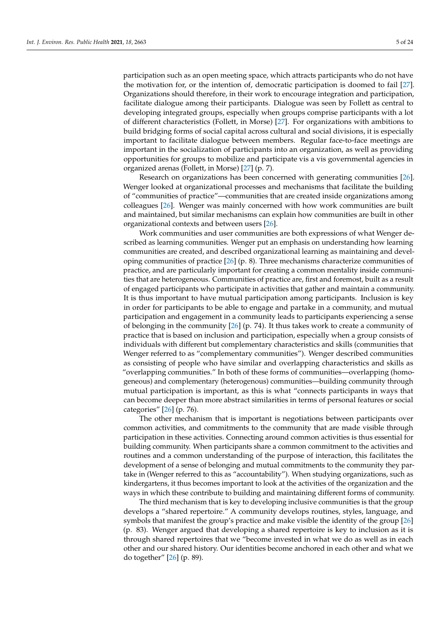participation such as an open meeting space, which attracts participants who do not have the motivation for, or the intention of, democratic participation is doomed to fail [\[27\]](#page-23-13). Organizations should therefore, in their work to encourage integration and participation, facilitate dialogue among their participants. Dialogue was seen by Follett as central to developing integrated groups, especially when groups comprise participants with a lot of different characteristics (Follett, in Morse) [\[27\]](#page-23-13). For organizations with ambitions to build bridging forms of social capital across cultural and social divisions, it is especially important to facilitate dialogue between members. Regular face-to-face meetings are important in the socialization of participants into an organization, as well as providing opportunities for groups to mobilize and participate vis a vis governmental agencies in organized arenas (Follett, in Morse) [\[27\]](#page-23-13) (p. 7).

Research on organizations has been concerned with generating communities [\[26\]](#page-23-12). Wenger looked at organizational processes and mechanisms that facilitate the building of "communities of practice"—communities that are created inside organizations among colleagues [\[26\]](#page-23-12). Wenger was mainly concerned with how work communities are built and maintained, but similar mechanisms can explain how communities are built in other organizational contexts and between users [\[26\]](#page-23-12).

Work communities and user communities are both expressions of what Wenger described as learning communities. Wenger put an emphasis on understanding how learning communities are created, and described organizational learning as maintaining and developing communities of practice [\[26\]](#page-23-12) (p. 8). Three mechanisms characterize communities of practice, and are particularly important for creating a common mentality inside communities that are heterogeneous. Communities of practice are, first and foremost, built as a result of engaged participants who participate in activities that gather and maintain a community. It is thus important to have mutual participation among participants. Inclusion is key in order for participants to be able to engage and partake in a community, and mutual participation and engagement in a community leads to participants experiencing a sense of belonging in the community [\[26\]](#page-23-12) (p. 74). It thus takes work to create a community of practice that is based on inclusion and participation, especially when a group consists of individuals with different but complementary characteristics and skills (communities that Wenger referred to as "complementary communities"). Wenger described communities as consisting of people who have similar and overlapping characteristics and skills as "overlapping communities." In both of these forms of communities—overlapping (homogeneous) and complementary (heterogenous) communities—building community through mutual participation is important, as this is what "connects participants in ways that can become deeper than more abstract similarities in terms of personal features or social categories" [\[26\]](#page-23-12) (p. 76).

The other mechanism that is important is negotiations between participants over common activities, and commitments to the community that are made visible through participation in these activities. Connecting around common activities is thus essential for building community. When participants share a common commitment to the activities and routines and a common understanding of the purpose of interaction, this facilitates the development of a sense of belonging and mutual commitments to the community they partake in (Wenger referred to this as "accountability"). When studying organizations, such as kindergartens, it thus becomes important to look at the activities of the organization and the ways in which these contribute to building and maintaining different forms of community.

The third mechanism that is key to developing inclusive communities is that the group develops a "shared repertoire." A community develops routines, styles, language, and symbols that manifest the group's practice and make visible the identity of the group [\[26\]](#page-23-12) (p. 83). Wenger argued that developing a shared repertoire is key to inclusion as it is through shared repertoires that we "become invested in what we do as well as in each other and our shared history. Our identities become anchored in each other and what we do together" [\[26\]](#page-23-12) (p. 89).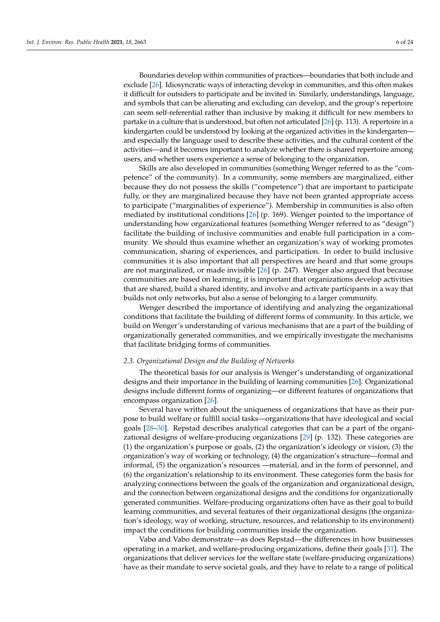Boundaries develop within communities of practices—boundaries that both include and exclude [\[26\]](#page-23-12). Idiosyncratic ways of interacting develop in communities, and this often makes it difficult for outsiders to participate and be invited in. Similarly, understandings, language, and symbols that can be alienating and excluding can develop, and the group's repertoire can seem self-referential rather than inclusive by making it difficult for new members to partake in a culture that is understood, but often not articulated [\[26\]](#page-23-12) (p. 113). A repertoire in a kindergarten could be understood by looking at the organized activities in the kindergarten and especially the language used to describe these activities, and the cultural content of the activities—and it becomes important to analyze whether there is shared repertoire among users, and whether users experience a sense of belonging to the organization.

Skills are also developed in communities (something Wenger referred to as the "competence" of the community). In a community, some members are marginalized, either because they do not possess the skills ("competence") that are important to participate fully, or they are marginalized because they have not been granted appropriate access to participate ("marginalities of experience"). Membership in communities is also often mediated by institutional conditions [\[26\]](#page-23-12) (p. 169). Wenger pointed to the importance of understanding how organizational features (something Wenger referred to as "design") facilitate the building of inclusive communities and enable full participation in a community. We should thus examine whether an organization's way of working promotes communication, sharing of experiences, and participation. In order to build inclusive communities it is also important that all perspectives are heard and that some groups are not marginalized, or made invisible [\[26\]](#page-23-12) (p. 247). Wenger also argued that because communities are based on learning, it is important that organizations develop activities that are shared, build a shared identity, and involve and activate participants in a way that builds not only networks, but also a sense of belonging to a larger community.

Wenger described the importance of identifying and analyzing the organizational conditions that facilitate the building of different forms of community. In this article, we build on Wenger's understanding of various mechanisms that are a part of the building of organizationally generated communities, and we empirically investigate the mechanisms that facilitate bridging forms of communities.

## *2.3. Organizational Design and the Building of Networks*

The theoretical basis for our analysis is Wenger's understanding of organizational designs and their importance in the building of learning communities [\[26\]](#page-23-12). Organizational designs include different forms of organizing—or different features of organizations that encompass organization [\[26\]](#page-23-12).

Several have written about the uniqueness of organizations that have as their purpose to build welfare or fulfill social tasks—organizations that have ideological and social goals [\[28–](#page-23-14)[30\]](#page-23-15). Repstad describes analytical categories that can be a part of the organizational designs of welfare-producing organizations [\[29\]](#page-23-16) (p. 132). These categories are (1) the organization's purpose or goals, (2) the organization's ideology or vision, (3) the organization's way of working or technology, (4) the organization's structure—formal and informal, (5) the organization's resources —material, and in the form of personnel, and (6) the organization's relationship to its environment. These categories form the basis for analyzing connections between the goals of the organization and organizational design, and the connection between organizational designs and the conditions for organizationally generated communities. Welfare-producing organizations often have as their goal to build learning communities, and several features of their organizational designs (the organization's ideology, way of working, structure, resources, and relationship to its environment) impact the conditions for building communities inside the organization.

Vabø and Vabo demonstrate—as does Repstad—the differences in how businesses operating in a market, and welfare-producing organizations, define their goals [\[31\]](#page-23-17). The organizations that deliver services for the welfare state (welfare-producing organizations) have as their mandate to serve societal goals, and they have to relate to a range of political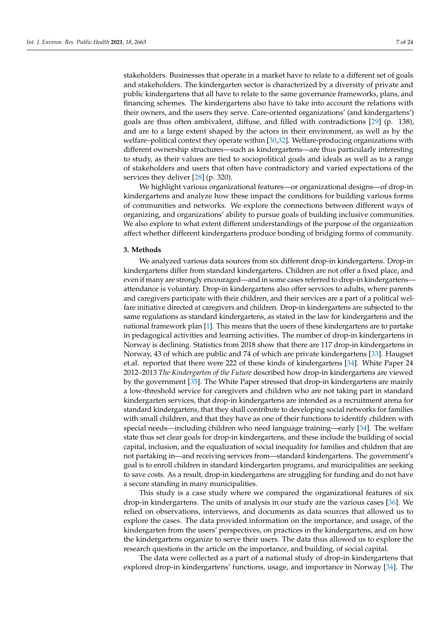stakeholders. Businesses that operate in a market have to relate to a different set of goals and stakeholders. The kindergarten sector is characterized by a diversity of private and public kindergartens that all have to relate to the same governance frameworks, plans, and financing schemes. The kindergartens also have to take into account the relations with their owners, and the users they serve. Care-oriented organizations' (and kindergartens') goals are thus often ambivalent, diffuse, and filled with contradictions [\[29\]](#page-23-16) (p. 138), and are to a large extent shaped by the actors in their environment, as well as by the welfare-political context they operate within [\[30,](#page-23-15)[32\]](#page-23-18). Welfare-producing organizations with different ownership structures—such as kindergartens—are thus particularly interesting to study, as their values are tied to sociopolitical goals and ideals as well as to a range of stakeholders and users that often have contradictory and varied expectations of the services they deliver [\[28\]](#page-23-14) (p. 320).

We highlight various organizational features—or organizational designs—of drop-in kindergartens and analyze how these impact the conditions for building various forms of communities and networks. We explore the connections between different ways of organizing, and organizations' ability to pursue goals of building inclusive communities. We also explore to what extent different understandings of the purpose of the organization affect whether different kindergartens produce bonding of bridging forms of community.

#### **3. Methods**

We analyzed various data sources from six different drop-in kindergartens. Drop-in kindergartens differ from standard kindergartens. Children are not offer a fixed place, and even if many are strongly encouraged—and in some cases referred to drop-in kindergartens attendance is voluntary. Drop-in kindergartens also offer services to adults, where parents and caregivers participate with their children, and their services are a part of a political welfare initiative directed at caregivers and children. Drop-in kindergartens are subjected to the same regulations as standard kindergartens, as stated in the law for kindergartens and the national framework plan [\[1\]](#page-22-0). This means that the users of these kindergartens are to partake in pedagogical activities and learning activities. The number of drop-in kindergartens in Norway is declining. Statistics from 2018 show that there are 117 drop-in kindergartens in Norway, 43 of which are public and 74 of which are private kindergartens [\[33\]](#page-23-19). Haugset et.al. reported that there were 222 of these kinds of kindergartens [\[34\]](#page-23-20). White Paper 24 2012–2013 *The Kindergarten of the Future* described how drop-in kindergartens are viewed by the government [\[35\]](#page-23-21). The White Paper stressed that drop-in kindergartens are mainly a low-threshold service for caregivers and children who are not taking part in standard kindergarten services, that drop-in kindergartens are intended as a recruitment arena for standard kindergartens, that they shall contribute to developing social networks for families with small children, and that they have as one of their functions to identify children with special needs—including children who need language training—early [\[34\]](#page-23-20). The welfare state thus set clear goals for drop-in kindergartens, and these include the building of social capital, inclusion, and the equalization of social inequality for families and children that are not partaking in—and receiving services from—standard kindergartens. The government's goal is to enroll children in standard kindergarten programs, and municipalities are seeking to save costs. As a result, drop-in kindergartens are struggling for funding and do not have a secure standing in many municipalities.

This study is a case study where we compared the organizational features of six drop-in kindergartens. The units of analysis in our study are the various cases [\[36\]](#page-23-22). We relied on observations, interviews, and documents as data sources that allowed us to explore the cases. The data provided information on the importance, and usage, of the kindergarten from the users' perspectives, on practices in the kindergartens, and on how the kindergartens organize to serve their users. The data thus allowed us to explore the research questions in the article on the importance, and building, of social capital.

The data were collected as a part of a national study of drop-in kindergartens that explored drop-in kindergartens' functions, usage, and importance in Norway [\[34\]](#page-23-20). The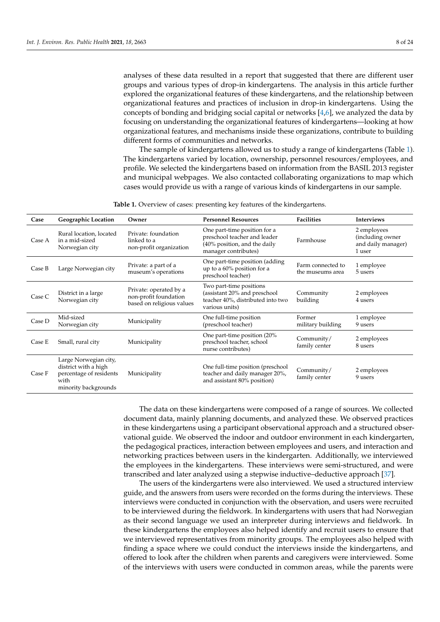analyses of these data resulted in a report that suggested that there are different user groups and various types of drop-in kindergartens. The analysis in this article further explored the organizational features of these kindergartens, and the relationship between organizational features and practices of inclusion in drop-in kindergartens. Using the concepts of bonding and bridging social capital or networks [\[4,](#page-22-3)[6\]](#page-22-11), we analyzed the data by focusing on understanding the organizational features of kindergartens—looking at how organizational features, and mechanisms inside these organizations, contribute to building different forms of communities and networks.

The sample of kindergartens allowed us to study a range of kindergartens (Table [1\)](#page-7-0). The kindergartens varied by location, ownership, personnel resources/employees, and profile. We selected the kindergartens based on information from the BASIL 2013 register and municipal webpages. We also contacted collaborating organizations to map which cases would provide us with a range of various kinds of kindergartens in our sample.

<span id="page-7-0"></span>

| Case   | <b>Geographic Location</b>                                                                               | Owner                                                                        | <b>Personnel Resources</b>                                                                                                        | <b>Facilities</b>                     | <b>Interviews</b>                                               |
|--------|----------------------------------------------------------------------------------------------------------|------------------------------------------------------------------------------|-----------------------------------------------------------------------------------------------------------------------------------|---------------------------------------|-----------------------------------------------------------------|
| Case A | Rural location, located<br>in a mid-sized<br>Norwegian city                                              | Private: foundation<br>linked to a<br>non-profit organization                | One part-time position for a<br>preschool teacher and leader<br>Farmhouse<br>(40% position, and the daily<br>manager contributes) |                                       | 2 employees<br>(including owner<br>and daily manager)<br>1 user |
| Case B | Large Norwegian city                                                                                     | Private: a part of a<br>museum's operations                                  | One part-time position (adding<br>up to a $60\%$ position for a<br>preschool teacher)                                             | Farm connected to<br>the museums area | 1 employee<br>5 users                                           |
| Case C | District in a large<br>Norwegian city                                                                    | Private: operated by a<br>non-profit foundation<br>based on religious values | Two part-time positions<br>(assistant 20% and preschool<br>teacher 40%, distributed into two<br>various units)                    | Community<br>building                 | 2 employees<br>4 users                                          |
| Case D | Mid-sized<br>Norwegian city                                                                              | Municipality                                                                 | One full-time position<br>(preschool teacher)                                                                                     | Former<br>military building           | 1 employee<br>9 users                                           |
| Case E | Small, rural city                                                                                        | Municipality                                                                 | One part-time position (20%<br>preschool teacher, school<br>nurse contributes)                                                    | Community/<br>family center           | 2 employees<br>8 users                                          |
| Case F | Large Norwegian city,<br>district with a high<br>percentage of residents<br>with<br>minority backgrounds | Municipality                                                                 | One full-time position (preschool<br>teacher and daily manager 20%,<br>and assistant 80% position)                                | Community/<br>family center           | 2 employees<br>9 users                                          |

**Table 1.** Overview of cases: presenting key features of the kindergartens.

The data on these kindergartens were composed of a range of sources. We collected document data, mainly planning documents, and analyzed these. We observed practices in these kindergartens using a participant observational approach and a structured observational guide. We observed the indoor and outdoor environment in each kindergarten, the pedagogical practices, interaction between employees and users, and interaction and networking practices between users in the kindergarten. Additionally, we interviewed the employees in the kindergartens. These interviews were semi-structured, and were transcribed and later analyzed using a stepwise inductive–deductive approach [\[37\]](#page-23-23).

The users of the kindergartens were also interviewed. We used a structured interview guide, and the answers from users were recorded on the forms during the interviews. These interviews were conducted in conjunction with the observation, and users were recruited to be interviewed during the fieldwork. In kindergartens with users that had Norwegian as their second language we used an interpreter during interviews and fieldwork. In these kindergartens the employees also helped identify and recruit users to ensure that we interviewed representatives from minority groups. The employees also helped with finding a space where we could conduct the interviews inside the kindergartens, and offered to look after the children when parents and caregivers were interviewed. Some of the interviews with users were conducted in common areas, while the parents were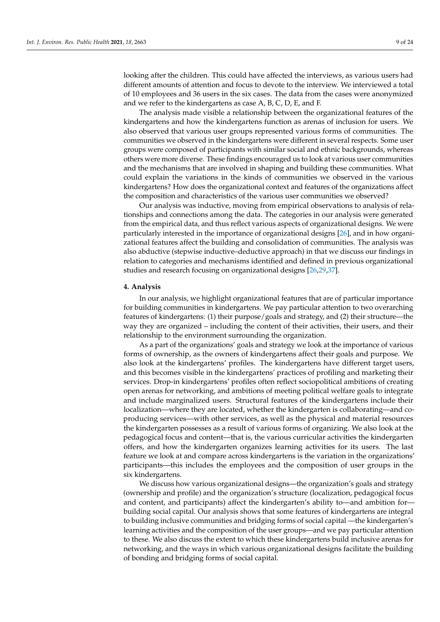looking after the children. This could have affected the interviews, as various users had different amounts of attention and focus to devote to the interview. We interviewed a total of 10 employees and 36 users in the six cases. The data from the cases were anonymized and we refer to the kindergartens as case A, B, C, D, E, and F.

The analysis made visible a relationship between the organizational features of the kindergartens and how the kindergartens function as arenas of inclusion for users. We also observed that various user groups represented various forms of communities. The communities we observed in the kindergartens were different in several respects. Some user groups were composed of participants with similar social and ethnic backgrounds, whereas others were more diverse. These findings encouraged us to look at various user communities and the mechanisms that are involved in shaping and building these communities. What could explain the variations in the kinds of communities we observed in the various kindergartens? How does the organizational context and features of the organizations affect the composition and characteristics of the various user communities we observed?

Our analysis was inductive, moving from empirical observations to analysis of relationships and connections among the data. The categories in our analysis were generated from the empirical data, and thus reflect various aspects of organizational designs. We were particularly interested in the importance of organizational designs [\[26\]](#page-23-12), and in how organizational features affect the building and consolidation of communities. The analysis was also abductive (stepwise inductive–deductive approach) in that we discuss our findings in relation to categories and mechanisms identified and defined in previous organizational studies and research focusing on organizational designs [\[26](#page-23-12)[,29](#page-23-16)[,37\]](#page-23-23).

## **4. Analysis**

In our analysis, we highlight organizational features that are of particular importance for building communities in kindergartens. We pay particular attention to two overarching features of kindergartens: (1) their purpose/goals and strategy, and (2) their structure—the way they are organized – including the content of their activities, their users, and their relationship to the environment surrounding the organization.

As a part of the organizations' goals and strategy we look at the importance of various forms of ownership, as the owners of kindergartens affect their goals and purpose. We also look at the kindergartens' profiles. The kindergartens have different target users, and this becomes visible in the kindergartens' practices of profiling and marketing their services. Drop-in kindergartens' profiles often reflect sociopolitical ambitions of creating open arenas for networking, and ambitions of meeting political welfare goals to integrate and include marginalized users. Structural features of the kindergartens include their localization—where they are located, whether the kindergarten is collaborating—and coproducing services—with other services, as well as the physical and material resources the kindergarten possesses as a result of various forms of organizing. We also look at the pedagogical focus and content—that is, the various curricular activities the kindergarten offers, and how the kindergarten organizes learning activities for its users. The last feature we look at and compare across kindergartens is the variation in the organizations' participants—this includes the employees and the composition of user groups in the six kindergartens.

We discuss how various organizational designs—the organization's goals and strategy (ownership and profile) and the organization's structure (localization, pedagogical focus and content, and participants) affect the kindergarten's ability to—and ambition for building social capital. Our analysis shows that some features of kindergartens are integral to building inclusive communities and bridging forms of social capital —the kindergarten's learning activities and the composition of the user groups—and we pay particular attention to these. We also discuss the extent to which these kindergartens build inclusive arenas for networking, and the ways in which various organizational designs facilitate the building of bonding and bridging forms of social capital.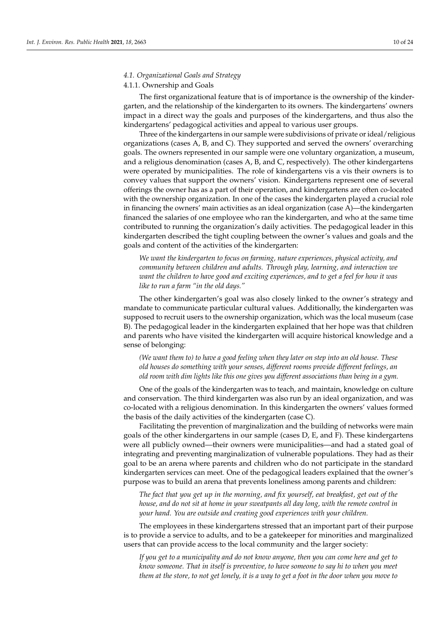## *4.1. Organizational Goals and Strategy*

## 4.1.1. Ownership and Goals

The first organizational feature that is of importance is the ownership of the kindergarten, and the relationship of the kindergarten to its owners. The kindergartens' owners impact in a direct way the goals and purposes of the kindergartens, and thus also the kindergartens' pedagogical activities and appeal to various user groups.

Three of the kindergartens in our sample were subdivisions of private or ideal/religious organizations (cases A, B, and C). They supported and served the owners' overarching goals. The owners represented in our sample were one voluntary organization, a museum, and a religious denomination (cases A, B, and C, respectively). The other kindergartens were operated by municipalities. The role of kindergartens vis a vis their owners is to convey values that support the owners' vision. Kindergartens represent one of several offerings the owner has as a part of their operation, and kindergartens are often co-located with the ownership organization. In one of the cases the kindergarten played a crucial role in financing the owners' main activities as an ideal organization (case A)—the kindergarten financed the salaries of one employee who ran the kindergarten, and who at the same time contributed to running the organization's daily activities. The pedagogical leader in this kindergarten described the tight coupling between the owner's values and goals and the goals and content of the activities of the kindergarten:

*We want the kindergarten to focus on farming, nature experiences, physical activity, and community between children and adults. Through play, learning, and interaction we want the children to have good and exciting experiences, and to get a feel for how it was like to run a farm "in the old days."*

The other kindergarten's goal was also closely linked to the owner's strategy and mandate to communicate particular cultural values. Additionally, the kindergarten was supposed to recruit users to the ownership organization, which was the local museum (case B). The pedagogical leader in the kindergarten explained that her hope was that children and parents who have visited the kindergarten will acquire historical knowledge and a sense of belonging:

*(We want them to) to have a good feeling when they later on step into an old house. These old houses do something with your senses, different rooms provide different feelings, an old room with dim lights like this one gives you different associations than being in a gym.*

One of the goals of the kindergarten was to teach, and maintain, knowledge on culture and conservation. The third kindergarten was also run by an ideal organization, and was co-located with a religious denomination. In this kindergarten the owners' values formed the basis of the daily activities of the kindergarten (case C).

Facilitating the prevention of marginalization and the building of networks were main goals of the other kindergartens in our sample (cases D, E, and F). These kindergartens were all publicly owned—their owners were municipalities—and had a stated goal of integrating and preventing marginalization of vulnerable populations. They had as their goal to be an arena where parents and children who do not participate in the standard kindergarten services can meet. One of the pedagogical leaders explained that the owner's purpose was to build an arena that prevents loneliness among parents and children:

*The fact that you get up in the morning, and fix yourself, eat breakfast, get out of the house, and do not sit at home in your sweatpants all day long, with the remote control in your hand. You are outside and creating good experiences with your children.*

The employees in these kindergartens stressed that an important part of their purpose is to provide a service to adults, and to be a gatekeeper for minorities and marginalized users that can provide access to the local community and the larger society:

*If you get to a municipality and do not know anyone, then you can come here and get to know someone. That in itself is preventive, to have someone to say hi to when you meet them at the store, to not get lonely, it is a way to get a foot in the door when you move to*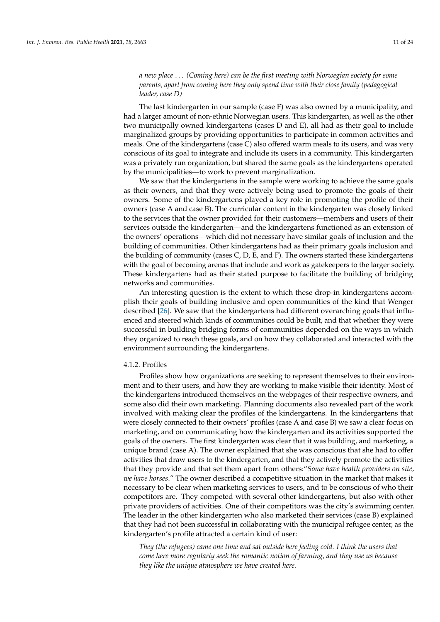*a new place* . . . *(Coming here) can be the first meeting with Norwegian society for some parents, apart from coming here they only spend time with their close family (pedagogical leader, case D)*

The last kindergarten in our sample (case F) was also owned by a municipality, and had a larger amount of non-ethnic Norwegian users. This kindergarten, as well as the other two municipally owned kindergartens (cases D and E), all had as their goal to include marginalized groups by providing opportunities to participate in common activities and meals. One of the kindergartens (case C) also offered warm meals to its users, and was very conscious of its goal to integrate and include its users in a community. This kindergarten was a privately run organization, but shared the same goals as the kindergartens operated by the municipalities—to work to prevent marginalization.

We saw that the kindergartens in the sample were working to achieve the same goals as their owners, and that they were actively being used to promote the goals of their owners. Some of the kindergartens played a key role in promoting the profile of their owners (case A and case B). The curricular content in the kindergarten was closely linked to the services that the owner provided for their customers—members and users of their services outside the kindergarten—and the kindergartens functioned as an extension of the owners' operations—which did not necessary have similar goals of inclusion and the building of communities. Other kindergartens had as their primary goals inclusion and the building of community (cases C, D, E, and F). The owners started these kindergartens with the goal of becoming arenas that include and work as gatekeepers to the larger society. These kindergartens had as their stated purpose to facilitate the building of bridging networks and communities.

An interesting question is the extent to which these drop-in kindergartens accomplish their goals of building inclusive and open communities of the kind that Wenger described [\[26\]](#page-23-12). We saw that the kindergartens had different overarching goals that influenced and steered which kinds of communities could be built, and that whether they were successful in building bridging forms of communities depended on the ways in which they organized to reach these goals, and on how they collaborated and interacted with the environment surrounding the kindergartens.

#### 4.1.2. Profiles

Profiles show how organizations are seeking to represent themselves to their environment and to their users, and how they are working to make visible their identity. Most of the kindergartens introduced themselves on the webpages of their respective owners, and some also did their own marketing. Planning documents also revealed part of the work involved with making clear the profiles of the kindergartens. In the kindergartens that were closely connected to their owners' profiles (case A and case B) we saw a clear focus on marketing, and on communicating how the kindergarten and its activities supported the goals of the owners. The first kindergarten was clear that it was building, and marketing, a unique brand (case A). The owner explained that she was conscious that she had to offer activities that draw users to the kindergarten, and that they actively promote the activities that they provide and that set them apart from others:"*Some have health providers on site, we have horses*." The owner described a competitive situation in the market that makes it necessary to be clear when marketing services to users, and to be conscious of who their competitors are. They competed with several other kindergartens, but also with other private providers of activities. One of their competitors was the city's swimming center. The leader in the other kindergarten who also marketed their services (case B) explained that they had not been successful in collaborating with the municipal refugee center, as the kindergarten's profile attracted a certain kind of user:

*They (the refugees) came one time and sat outside here feeling cold. I think the users that come here more regularly seek the romantic notion of farming, and they use us because they like the unique atmosphere we have created here.*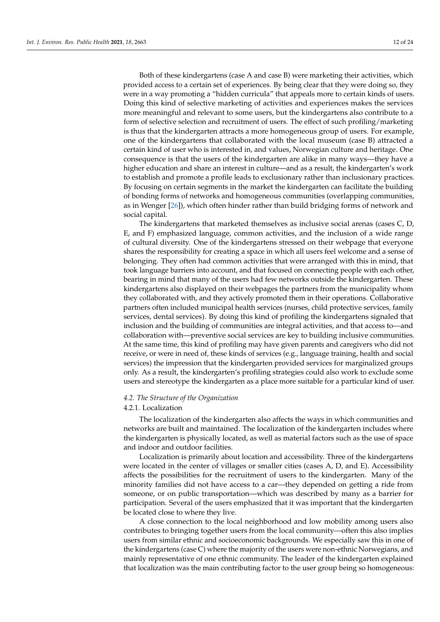Both of these kindergartens (case A and case B) were marketing their activities, which provided access to a certain set of experiences. By being clear that they were doing so, they were in a way promoting a "hidden curricula" that appeals more to certain kinds of users. Doing this kind of selective marketing of activities and experiences makes the services more meaningful and relevant to some users, but the kindergartens also contribute to a form of selective selection and recruitment of users. The effect of such profiling/marketing is thus that the kindergarten attracts a more homogeneous group of users. For example, one of the kindergartens that collaborated with the local museum (case B) attracted a certain kind of user who is interested in, and values, Norwegian culture and heritage. One consequence is that the users of the kindergarten are alike in many ways—they have a higher education and share an interest in culture—and as a result, the kindergarten's work to establish and promote a profile leads to exclusionary rather than inclusionary practices. By focusing on certain segments in the market the kindergarten can facilitate the building of bonding forms of networks and homogeneous communities (overlapping communities, as in Wenger [\[26\]](#page-23-12)), which often hinder rather than build bridging forms of network and social capital.

The kindergartens that marketed themselves as inclusive social arenas (cases C, D, E, and F) emphasized language, common activities, and the inclusion of a wide range of cultural diversity. One of the kindergartens stressed on their webpage that everyone shares the responsibility for creating a space in which all users feel welcome and a sense of belonging. They often had common activities that were arranged with this in mind, that took language barriers into account, and that focused on connecting people with each other, bearing in mind that many of the users had few networks outside the kindergarten. These kindergartens also displayed on their webpages the partners from the municipality whom they collaborated with, and they actively promoted them in their operations. Collaborative partners often included municipal health services (nurses, child protective services, family services, dental services). By doing this kind of profiling the kindergartens signaled that inclusion and the building of communities are integral activities, and that access to—and collaboration with—preventive social services are key to building inclusive communities. At the same time, this kind of profiling may have given parents and caregivers who did not receive, or were in need of, these kinds of services (e.g., language training, health and social services) the impression that the kindergarten provided services for marginalized groups only. As a result, the kindergarten's profiling strategies could also work to exclude some users and stereotype the kindergarten as a place more suitable for a particular kind of user.

#### *4.2. The Structure of the Organization*

#### 4.2.1. Localization

The localization of the kindergarten also affects the ways in which communities and networks are built and maintained. The localization of the kindergarten includes where the kindergarten is physically located, as well as material factors such as the use of space and indoor and outdoor facilities.

Localization is primarily about location and accessibility. Three of the kindergartens were located in the center of villages or smaller cities (cases A, D, and E). Accessibility affects the possibilities for the recruitment of users to the kindergarten. Many of the minority families did not have access to a car—they depended on getting a ride from someone, or on public transportation—which was described by many as a barrier for participation. Several of the users emphasized that it was important that the kindergarten be located close to where they live.

A close connection to the local neighborhood and low mobility among users also contributes to bringing together users from the local community—often this also implies users from similar ethnic and socioeconomic backgrounds. We especially saw this in one of the kindergartens (case C) where the majority of the users were non-ethnic Norwegians, and mainly representative of one ethnic community. The leader of the kindergarten explained that localization was the main contributing factor to the user group being so homogeneous: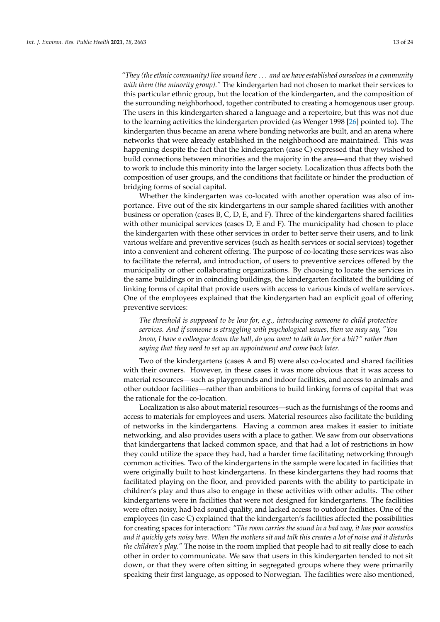*"They (the ethnic community) live around here* . . . *and we have established ourselves in a community with them (the minority group)."* The kindergarten had not chosen to market their services to this particular ethnic group, but the location of the kindergarten, and the composition of the surrounding neighborhood, together contributed to creating a homogenous user group. The users in this kindergarten shared a language and a repertoire, but this was not due to the learning activities the kindergarten provided (as Wenger 1998 [\[26\]](#page-23-12) pointed to). The kindergarten thus became an arena where bonding networks are built, and an arena where networks that were already established in the neighborhood are maintained. This was happening despite the fact that the kindergarten (case C) expressed that they wished to build connections between minorities and the majority in the area—and that they wished to work to include this minority into the larger society. Localization thus affects both the composition of user groups, and the conditions that facilitate or hinder the production of bridging forms of social capital.

Whether the kindergarten was co-located with another operation was also of importance. Five out of the six kindergartens in our sample shared facilities with another business or operation (cases B, C, D, E, and F). Three of the kindergartens shared facilities with other municipal services (cases D, E and F). The municipality had chosen to place the kindergarten with these other services in order to better serve their users, and to link various welfare and preventive services (such as health services or social services) together into a convenient and coherent offering. The purpose of co-locating these services was also to facilitate the referral, and introduction, of users to preventive services offered by the municipality or other collaborating organizations. By choosing to locate the services in the same buildings or in coinciding buildings, the kindergarten facilitated the building of linking forms of capital that provide users with access to various kinds of welfare services. One of the employees explained that the kindergarten had an explicit goal of offering preventive services:

*The threshold is supposed to be low for, e.g., introducing someone to child protective services. And if someone is struggling with psychological issues, then we may say, "You know, I have a colleague down the hall, do you want to talk to her for a bit?" rather than saying that they need to set up an appointment and come back later.*

Two of the kindergartens (cases A and B) were also co-located and shared facilities with their owners. However, in these cases it was more obvious that it was access to material resources—such as playgrounds and indoor facilities, and access to animals and other outdoor facilities—rather than ambitions to build linking forms of capital that was the rationale for the co-location.

Localization is also about material resources—such as the furnishings of the rooms and access to materials for employees and users. Material resources also facilitate the building of networks in the kindergartens. Having a common area makes it easier to initiate networking, and also provides users with a place to gather. We saw from our observations that kindergartens that lacked common space, and that had a lot of restrictions in how they could utilize the space they had, had a harder time facilitating networking through common activities. Two of the kindergartens in the sample were located in facilities that were originally built to host kindergartens. In these kindergartens they had rooms that facilitated playing on the floor, and provided parents with the ability to participate in children's play and thus also to engage in these activities with other adults. The other kindergartens were in facilities that were not designed for kindergartens. The facilities were often noisy, had bad sound quality, and lacked access to outdoor facilities. One of the employees (in case C) explained that the kindergarten's facilities affected the possibilities for creating spaces for interaction: *"The room carries the sound in a bad way, it has poor acoustics and it quickly gets noisy here. When the mothers sit and talk this creates a lot of noise and it disturbs the children's play."* The noise in the room implied that people had to sit really close to each other in order to communicate. We saw that users in this kindergarten tended to not sit down, or that they were often sitting in segregated groups where they were primarily speaking their first language, as opposed to Norwegian. The facilities were also mentioned,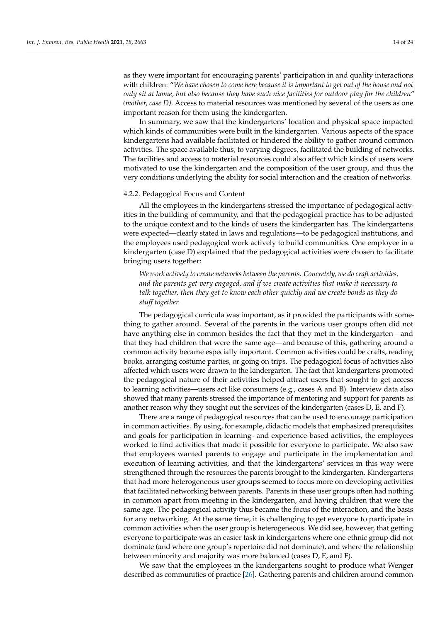as they were important for encouraging parents' participation in and quality interactions with children: "*We have chosen to come here because it is important to get out of the house and not only sit at home, but also because they have such nice facilities for outdoor play for the children*" *(mother, case D)*. Access to material resources was mentioned by several of the users as one important reason for them using the kindergarten.

In summary, we saw that the kindergartens' location and physical space impacted which kinds of communities were built in the kindergarten. Various aspects of the space kindergartens had available facilitated or hindered the ability to gather around common activities. The space available thus, to varying degrees, facilitated the building of networks. The facilities and access to material resources could also affect which kinds of users were motivated to use the kindergarten and the composition of the user group, and thus the very conditions underlying the ability for social interaction and the creation of networks.

#### 4.2.2. Pedagogical Focus and Content

All the employees in the kindergartens stressed the importance of pedagogical activities in the building of community, and that the pedagogical practice has to be adjusted to the unique context and to the kinds of users the kindergarten has. The kindergartens were expected—clearly stated in laws and regulations—to be pedagogical institutions, and the employees used pedagogical work actively to build communities. One employee in a kindergarten (case D) explained that the pedagogical activities were chosen to facilitate bringing users together:

*We work actively to create networks between the parents. Concretely, we do craft activities, and the parents get very engaged, and if we create activities that make it necessary to talk together, then they get to know each other quickly and we create bonds as they do stuff together.*

The pedagogical curricula was important, as it provided the participants with something to gather around. Several of the parents in the various user groups often did not have anything else in common besides the fact that they met in the kindergarten—and that they had children that were the same age—and because of this, gathering around a common activity became especially important. Common activities could be crafts, reading books, arranging costume parties, or going on trips. The pedagogical focus of activities also affected which users were drawn to the kindergarten. The fact that kindergartens promoted the pedagogical nature of their activities helped attract users that sought to get access to learning activities—users act like consumers (e.g., cases A and B). Interview data also showed that many parents stressed the importance of mentoring and support for parents as another reason why they sought out the services of the kindergarten (cases D, E, and F).

There are a range of pedagogical resources that can be used to encourage participation in common activities. By using, for example, didactic models that emphasized prerequisites and goals for participation in learning- and experience-based activities, the employees worked to find activities that made it possible for everyone to participate. We also saw that employees wanted parents to engage and participate in the implementation and execution of learning activities, and that the kindergartens' services in this way were strengthened through the resources the parents brought to the kindergarten. Kindergartens that had more heterogeneous user groups seemed to focus more on developing activities that facilitated networking between parents. Parents in these user groups often had nothing in common apart from meeting in the kindergarten, and having children that were the same age. The pedagogical activity thus became the focus of the interaction, and the basis for any networking. At the same time, it is challenging to get everyone to participate in common activities when the user group is heterogeneous. We did see, however, that getting everyone to participate was an easier task in kindergartens where one ethnic group did not dominate (and where one group's repertoire did not dominate), and where the relationship between minority and majority was more balanced (cases D, E, and F).

We saw that the employees in the kindergartens sought to produce what Wenger described as communities of practice [\[26\]](#page-23-12). Gathering parents and children around common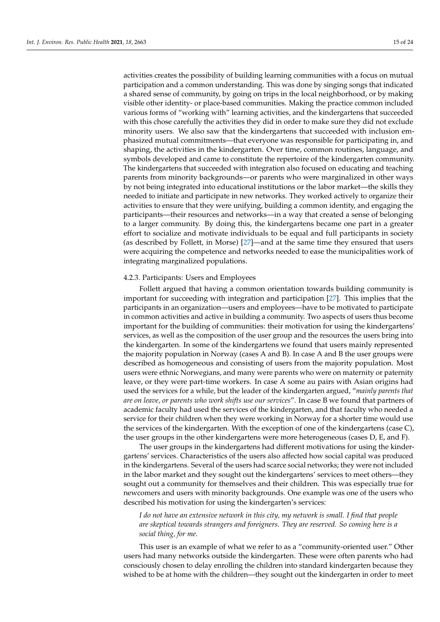activities creates the possibility of building learning communities with a focus on mutual participation and a common understanding. This was done by singing songs that indicated a shared sense of community, by going on trips in the local neighborhood, or by making visible other identity- or place-based communities. Making the practice common included various forms of "working with" learning activities, and the kindergartens that succeeded with this chose carefully the activities they did in order to make sure they did not exclude minority users. We also saw that the kindergartens that succeeded with inclusion emphasized mutual commitments—that everyone was responsible for participating in, and shaping, the activities in the kindergarten. Over time, common routines, language, and symbols developed and came to constitute the repertoire of the kindergarten community. The kindergartens that succeeded with integration also focused on educating and teaching parents from minority backgrounds—or parents who were marginalized in other ways by not being integrated into educational institutions or the labor market—the skills they needed to initiate and participate in new networks. They worked actively to organize their activities to ensure that they were unifying, building a common identity, and engaging the participants—their resources and networks—in a way that created a sense of belonging to a larger community. By doing this, the kindergartens became one part in a greater effort to socialize and motivate individuals to be equal and full participants in society (as described by Follett, in Morse) [\[27\]](#page-23-13)—and at the same time they ensured that users were acquiring the competence and networks needed to ease the municipalities work of integrating marginalized populations.

## 4.2.3. Participants: Users and Employees

Follett argued that having a common orientation towards building community is important for succeeding with integration and participation [\[27\]](#page-23-13). This implies that the participants in an organization—users and employees—have to be motivated to participate in common activities and active in building a community. Two aspects of users thus become important for the building of communities: their motivation for using the kindergartens' services, as well as the composition of the user group and the resources the users bring into the kindergarten. In some of the kindergartens we found that users mainly represented the majority population in Norway (cases A and B). In case A and B the user groups were described as homogeneous and consisting of users from the majority population. Most users were ethnic Norwegians, and many were parents who were on maternity or paternity leave, or they were part-time workers. In case A some au pairs with Asian origins had used the services for a while, but the leader of the kindergarten argued, "*mainly parents that are on leave, or parents who work shifts use our services*". In case B we found that partners of academic faculty had used the services of the kindergarten, and that faculty who needed a service for their children when they were working in Norway for a shorter time would use the services of the kindergarten. With the exception of one of the kindergartens (case C), the user groups in the other kindergartens were more heterogeneous (cases D, E, and F).

The user groups in the kindergartens had different motivations for using the kindergartens' services. Characteristics of the users also affected how social capital was produced in the kindergartens. Several of the users had scarce social networks; they were not included in the labor market and they sought out the kindergartens' services to meet others—they sought out a community for themselves and their children. This was especially true for newcomers and users with minority backgrounds. One example was one of the users who described his motivation for using the kindergarten's services:

*I do not have an extensive network in this city, my network is small. I find that people are skeptical towards strangers and foreigners. They are reserved. So coming here is a social thing, for me.*

This user is an example of what we refer to as a "community-oriented user." Other users had many networks outside the kindergarten. These were often parents who had consciously chosen to delay enrolling the children into standard kindergarten because they wished to be at home with the children—they sought out the kindergarten in order to meet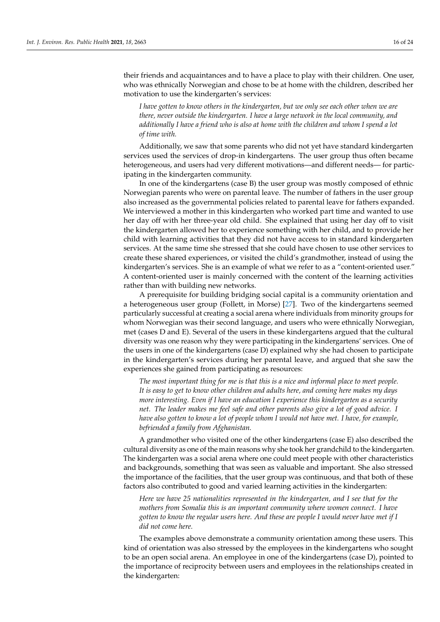their friends and acquaintances and to have a place to play with their children. One user, who was ethnically Norwegian and chose to be at home with the children, described her motivation to use the kindergarten's services:

*I have gotten to know others in the kindergarten, but we only see each other when we are there, never outside the kindergarten. I have a large network in the local community, and additionally I have a friend who is also at home with the children and whom I spend a lot of time with.*

Additionally, we saw that some parents who did not yet have standard kindergarten services used the services of drop-in kindergartens. The user group thus often became heterogeneous, and users had very different motivations—and different needs— for participating in the kindergarten community.

In one of the kindergartens (case B) the user group was mostly composed of ethnic Norwegian parents who were on parental leave. The number of fathers in the user group also increased as the governmental policies related to parental leave for fathers expanded. We interviewed a mother in this kindergarten who worked part time and wanted to use her day off with her three-year old child. She explained that using her day off to visit the kindergarten allowed her to experience something with her child, and to provide her child with learning activities that they did not have access to in standard kindergarten services. At the same time she stressed that she could have chosen to use other services to create these shared experiences, or visited the child's grandmother, instead of using the kindergarten's services. She is an example of what we refer to as a "content-oriented user." A content-oriented user is mainly concerned with the content of the learning activities rather than with building new networks.

A prerequisite for building bridging social capital is a community orientation and a heterogeneous user group (Follett, in Morse) [\[27\]](#page-23-13). Two of the kindergartens seemed particularly successful at creating a social arena where individuals from minority groups for whom Norwegian was their second language, and users who were ethnically Norwegian, met (cases D and E). Several of the users in these kindergartens argued that the cultural diversity was one reason why they were participating in the kindergartens' services. One of the users in one of the kindergartens (case D) explained why she had chosen to participate in the kindergarten's services during her parental leave, and argued that she saw the experiences she gained from participating as resources:

*The most important thing for me is that this is a nice and informal place to meet people. It is easy to get to know other children and adults here, and coming here makes my days more interesting. Even if I have an education I experience this kindergarten as a security net. The leader makes me feel safe and other parents also give a lot of good advice. I have also gotten to know a lot of people whom I would not have met. I have, for example, befriended a family from Afghanistan.*

A grandmother who visited one of the other kindergartens (case E) also described the cultural diversity as one of the main reasons why she took her grandchild to the kindergarten. The kindergarten was a social arena where one could meet people with other characteristics and backgrounds, something that was seen as valuable and important. She also stressed the importance of the facilities, that the user group was continuous, and that both of these factors also contributed to good and varied learning activities in the kindergarten:

*Here we have 25 nationalities represented in the kindergarten, and I see that for the mothers from Somalia this is an important community where women connect. I have gotten to know the regular users here. And these are people I would never have met if I did not come here.*

The examples above demonstrate a community orientation among these users. This kind of orientation was also stressed by the employees in the kindergartens who sought to be an open social arena. An employee in one of the kindergartens (case D), pointed to the importance of reciprocity between users and employees in the relationships created in the kindergarten: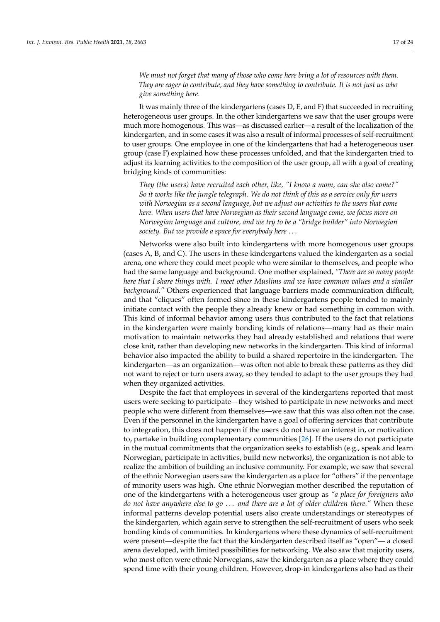*We must not forget that many of those who come here bring a lot of resources with them. They are eager to contribute, and they have something to contribute. It is not just us who give something here.*

It was mainly three of the kindergartens (cases D, E, and F) that succeeded in recruiting heterogeneous user groups. In the other kindergartens we saw that the user groups were much more homogenous. This was—as discussed earlier—a result of the localization of the kindergarten, and in some cases it was also a result of informal processes of self-recruitment to user groups. One employee in one of the kindergartens that had a heterogeneous user group (case F) explained how these processes unfolded, and that the kindergarten tried to adjust its learning activities to the composition of the user group, all with a goal of creating bridging kinds of communities:

*They (the users) have recruited each other, like, "I know a mom, can she also come?" So it works like the jungle telegraph. We do not think of this as a service only for users with Norwegian as a second language, but we adjust our activities to the users that come here. When users that have Norwegian as their second language come, we focus more on Norwegian language and culture, and we try to be a "bridge builder" into Norwegian society. But we provide a space for everybody here* . . .

Networks were also built into kindergartens with more homogenous user groups (cases A, B, and C). The users in these kindergartens valued the kindergarten as a social arena, one where they could meet people who were similar to themselves, and people who had the same language and background. One mother explained, *"There are so many people here that I share things with. I meet other Muslims and we have common values and a similar background."* Others experienced that language barriers made communication difficult, and that "cliques" often formed since in these kindergartens people tended to mainly initiate contact with the people they already knew or had something in common with. This kind of informal behavior among users thus contributed to the fact that relations in the kindergarten were mainly bonding kinds of relations—many had as their main motivation to maintain networks they had already established and relations that were close knit, rather than developing new networks in the kindergarten. This kind of informal behavior also impacted the ability to build a shared repertoire in the kindergarten. The kindergarten—as an organization—was often not able to break these patterns as they did not want to reject or turn users away, so they tended to adapt to the user groups they had when they organized activities.

Despite the fact that employees in several of the kindergartens reported that most users were seeking to participate—they wished to participate in new networks and meet people who were different from themselves—we saw that this was also often not the case. Even if the personnel in the kindergarten have a goal of offering services that contribute to integration, this does not happen if the users do not have an interest in, or motivation to, partake in building complementary communities [\[26\]](#page-23-12). If the users do not participate in the mutual commitments that the organization seeks to establish (e.g., speak and learn Norwegian, participate in activities, build new networks), the organization is not able to realize the ambition of building an inclusive community. For example, we saw that several of the ethnic Norwegian users saw the kindergarten as a place for "others" if the percentage of minority users was high. One ethnic Norwegian mother described the reputation of one of the kindergartens with a heterogeneous user group as *"a place for foreigners who do not have anywhere else to go* . . . *and there are a lot of older children there."* When these informal patterns develop potential users also create understandings or stereotypes of the kindergarten, which again serve to strengthen the self-recruitment of users who seek bonding kinds of communities. In kindergartens where these dynamics of self-recruitment were present—despite the fact that the kindergarten described itself as "open"— a closed arena developed, with limited possibilities for networking. We also saw that majority users, who most often were ethnic Norwegians, saw the kindergarten as a place where they could spend time with their young children. However, drop-in kindergartens also had as their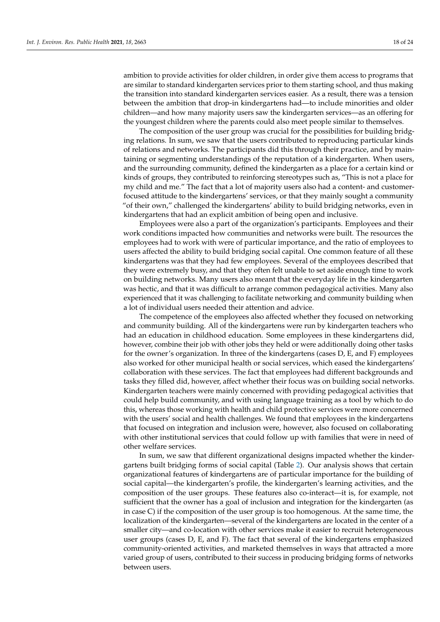ambition to provide activities for older children, in order give them access to programs that are similar to standard kindergarten services prior to them starting school, and thus making the transition into standard kindergarten services easier. As a result, there was a tension between the ambition that drop-in kindergartens had—to include minorities and older children—and how many majority users saw the kindergarten services—as an offering for the youngest children where the parents could also meet people similar to themselves.

The composition of the user group was crucial for the possibilities for building bridging relations. In sum, we saw that the users contributed to reproducing particular kinds of relations and networks. The participants did this through their practice, and by maintaining or segmenting understandings of the reputation of a kindergarten. When users, and the surrounding community, defined the kindergarten as a place for a certain kind or kinds of groups, they contributed to reinforcing stereotypes such as, "This is not a place for my child and me." The fact that a lot of majority users also had a content- and customerfocused attitude to the kindergartens' services, or that they mainly sought a community "of their own," challenged the kindergartens' ability to build bridging networks, even in kindergartens that had an explicit ambition of being open and inclusive.

Employees were also a part of the organization's participants. Employees and their work conditions impacted how communities and networks were built. The resources the employees had to work with were of particular importance, and the ratio of employees to users affected the ability to build bridging social capital. One common feature of all these kindergartens was that they had few employees. Several of the employees described that they were extremely busy, and that they often felt unable to set aside enough time to work on building networks. Many users also meant that the everyday life in the kindergarten was hectic, and that it was difficult to arrange common pedagogical activities. Many also experienced that it was challenging to facilitate networking and community building when a lot of individual users needed their attention and advice.

The competence of the employees also affected whether they focused on networking and community building. All of the kindergartens were run by kindergarten teachers who had an education in childhood education. Some employees in these kindergartens did, however, combine their job with other jobs they held or were additionally doing other tasks for the owner's organization. In three of the kindergartens (cases D, E, and F) employees also worked for other municipal health or social services, which eased the kindergartens' collaboration with these services. The fact that employees had different backgrounds and tasks they filled did, however, affect whether their focus was on building social networks. Kindergarten teachers were mainly concerned with providing pedagogical activities that could help build community, and with using language training as a tool by which to do this, whereas those working with health and child protective services were more concerned with the users' social and health challenges. We found that employees in the kindergartens that focused on integration and inclusion were, however, also focused on collaborating with other institutional services that could follow up with families that were in need of other welfare services.

In sum, we saw that different organizational designs impacted whether the kindergartens built bridging forms of social capital (Table [2\)](#page-18-0). Our analysis shows that certain organizational features of kindergartens are of particular importance for the building of social capital—the kindergarten's profile, the kindergarten's learning activities, and the composition of the user groups. These features also co-interact—it is, for example, not sufficient that the owner has a goal of inclusion and integration for the kindergarten (as in case C) if the composition of the user group is too homogenous. At the same time, the localization of the kindergarten—several of the kindergartens are located in the center of a smaller city—and co-location with other services make it easier to recruit heterogeneous user groups (cases D, E, and F). The fact that several of the kindergartens emphasized community-oriented activities, and marketed themselves in ways that attracted a more varied group of users, contributed to their success in producing bridging forms of networks between users.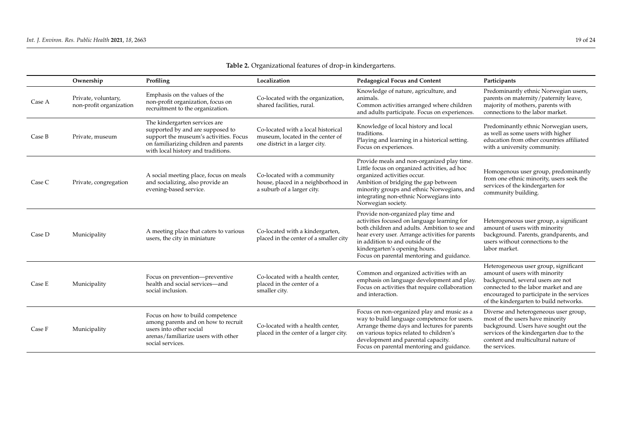<span id="page-18-0"></span>

|        | Ownership                                      | Profiling                                                                                                                                                                                  | Localization                                                                                             | <b>Pedagogical Focus and Content</b>                                                                                                                                                                                                                                                                      | Participants                                                                                                                                                                                                                                |
|--------|------------------------------------------------|--------------------------------------------------------------------------------------------------------------------------------------------------------------------------------------------|----------------------------------------------------------------------------------------------------------|-----------------------------------------------------------------------------------------------------------------------------------------------------------------------------------------------------------------------------------------------------------------------------------------------------------|---------------------------------------------------------------------------------------------------------------------------------------------------------------------------------------------------------------------------------------------|
| Case A | Private, voluntary,<br>non-profit organization | Emphasis on the values of the<br>non-profit organization, focus on<br>recruitment to the organization.                                                                                     | Co-located with the organization,<br>shared facilities, rural.                                           | Knowledge of nature, agriculture, and<br>animals.<br>Common activities arranged where children<br>and adults participate. Focus on experiences.                                                                                                                                                           | Predominantly ethnic Norwegian users,<br>parents on maternity/paternity leave,<br>majority of mothers, parents with<br>connections to the labor market.                                                                                     |
| Case B | Private, museum                                | The kindergarten services are<br>supported by and are supposed to<br>support the museum's activities. Focus<br>on familiarizing children and parents<br>with local history and traditions. | Co-located with a local historical<br>museum, located in the center of<br>one district in a larger city. | Knowledge of local history and local<br>traditions.<br>Playing and learning in a historical setting.<br>Focus on experiences.                                                                                                                                                                             | Predominantly ethnic Norwegian users,<br>as well as some users with higher<br>education from other countries affiliated<br>with a university community.                                                                                     |
| Case C | Private, congregation                          | A social meeting place, focus on meals<br>and socializing, also provide an<br>evening-based service.                                                                                       | Co-located with a community<br>house, placed in a neighborhood in<br>a suburb of a larger city.          | Provide meals and non-organized play time.<br>Little focus on organized activities, ad hoc<br>organized activities occur.<br>Ambition of bridging the gap between<br>minority groups and ethnic Norwegians, and<br>integrating non-ethnic Norwegians into<br>Norwegian society.                           | Homogenous user group, predominantly<br>from one ethnic minority, users seek the<br>services of the kindergarten for<br>community building.                                                                                                 |
| Case D | Municipality                                   | A meeting place that caters to various<br>users, the city in miniature                                                                                                                     | Co-located with a kindergarten,<br>placed in the center of a smaller city                                | Provide non-organized play time and<br>activities focused on language learning for<br>both children and adults. Ambition to see and<br>hear every user. Arrange activities for parents<br>in addition to and outside of the<br>kindergarten's opening hours.<br>Focus on parental mentoring and guidance. | Heterogeneous user group, a significant<br>amount of users with minority<br>background. Parents, grandparents, and<br>users without connections to the<br>labor market.                                                                     |
| Case E | Municipality                                   | Focus on prevention—preventive<br>health and social services-and<br>social inclusion.                                                                                                      | Co-located with a health center,<br>placed in the center of a<br>smaller city.                           | Common and organized activities with an<br>emphasis on language development and play.<br>Focus on activities that require collaboration<br>and interaction.                                                                                                                                               | Heterogeneous user group, significant<br>amount of users with minority<br>background, several users are not<br>connected to the labor market and are<br>encouraged to participate in the services<br>of the kindergarten to build networks. |
| Case F | Municipality                                   | Focus on how to build competence<br>among parents and on how to recruit<br>users into other social<br>arenas/familiarize users with other<br>social services.                              | Co-located with a health center,<br>placed in the center of a larger city.                               | Focus on non-organized play and music as a<br>way to build language competence for users.<br>Arrange theme days and lectures for parents<br>on various topics related to children's<br>development and parental capacity.<br>Focus on parental mentoring and guidance.                                    | Diverse and heterogeneous user group,<br>most of the users have minority<br>background. Users have sought out the<br>services of the kindergarten due to the<br>content and multicultural nature of<br>the services.                        |

**Table 2.** Organizational features of drop-in kindergartens.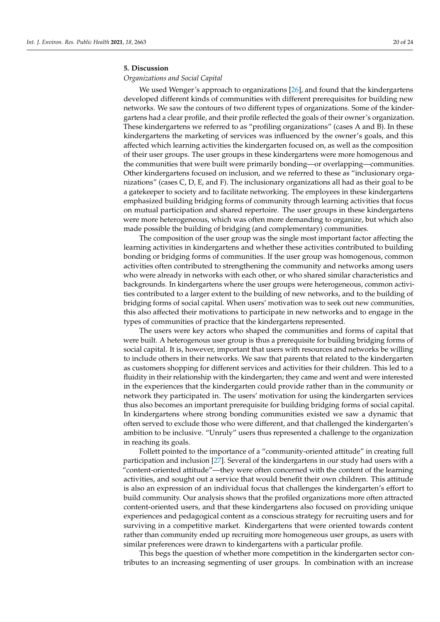## **5. Discussion**

## *Organizations and Social Capital*

We used Wenger's approach to organizations [\[26\]](#page-23-12), and found that the kindergartens developed different kinds of communities with different prerequisites for building new networks. We saw the contours of two different types of organizations. Some of the kindergartens had a clear profile, and their profile reflected the goals of their owner's organization. These kindergartens we referred to as "profiling organizations" (cases A and B). In these kindergartens the marketing of services was influenced by the owner's goals, and this affected which learning activities the kindergarten focused on, as well as the composition of their user groups. The user groups in these kindergartens were more homogenous and the communities that were built were primarily bonding—or overlapping—communities. Other kindergartens focused on inclusion, and we referred to these as "inclusionary organizations" (cases C, D, E, and F). The inclusionary organizations all had as their goal to be a gatekeeper to society and to facilitate networking. The employees in these kindergartens emphasized building bridging forms of community through learning activities that focus on mutual participation and shared repertoire. The user groups in these kindergartens were more heterogeneous, which was often more demanding to organize, but which also made possible the building of bridging (and complementary) communities.

The composition of the user group was the single most important factor affecting the learning activities in kindergartens and whether these activities contributed to building bonding or bridging forms of communities. If the user group was homogenous, common activities often contributed to strengthening the community and networks among users who were already in networks with each other, or who shared similar characteristics and backgrounds. In kindergartens where the user groups were heterogeneous, common activities contributed to a larger extent to the building of new networks, and to the building of bridging forms of social capital. When users' motivation was to seek out new communities, this also affected their motivations to participate in new networks and to engage in the types of communities of practice that the kindergartens represented.

The users were key actors who shaped the communities and forms of capital that were built. A heterogenous user group is thus a prerequisite for building bridging forms of social capital. It is, however, important that users with resources and networks be willing to include others in their networks. We saw that parents that related to the kindergarten as customers shopping for different services and activities for their children. This led to a fluidity in their relationship with the kindergarten; they came and went and were interested in the experiences that the kindergarten could provide rather than in the community or network they participated in. The users' motivation for using the kindergarten services thus also becomes an important prerequisite for building bridging forms of social capital. In kindergartens where strong bonding communities existed we saw a dynamic that often served to exclude those who were different, and that challenged the kindergarten's ambition to be inclusive. "Unruly" users thus represented a challenge to the organization in reaching its goals.

Follett pointed to the importance of a "community-oriented attitude" in creating full participation and inclusion [\[27\]](#page-23-13). Several of the kindergartens in our study had users with a "content-oriented attitude"—they were often concerned with the content of the learning activities, and sought out a service that would benefit their own children. This attitude is also an expression of an individual focus that challenges the kindergarten's effort to build community. Our analysis shows that the profiled organizations more often attracted content-oriented users, and that these kindergartens also focused on providing unique experiences and pedagogical content as a conscious strategy for recruiting users and for surviving in a competitive market. Kindergartens that were oriented towards content rather than community ended up recruiting more homogeneous user groups, as users with similar preferences were drawn to kindergartens with a particular profile.

This begs the question of whether more competition in the kindergarten sector contributes to an increasing segmenting of user groups. In combination with an increase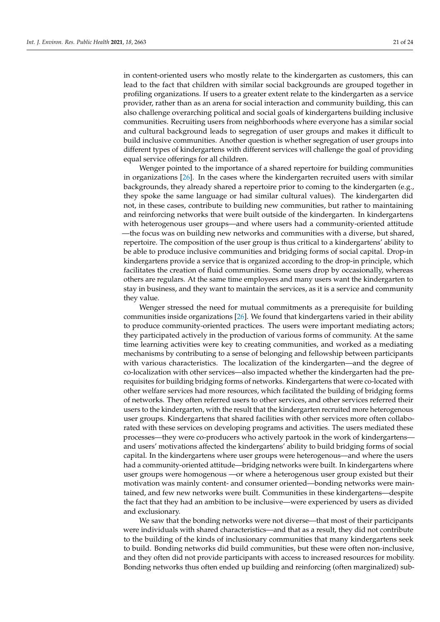in content-oriented users who mostly relate to the kindergarten as customers, this can lead to the fact that children with similar social backgrounds are grouped together in profiling organizations. If users to a greater extent relate to the kindergarten as a service provider, rather than as an arena for social interaction and community building, this can also challenge overarching political and social goals of kindergartens building inclusive communities. Recruiting users from neighborhoods where everyone has a similar social and cultural background leads to segregation of user groups and makes it difficult to build inclusive communities. Another question is whether segregation of user groups into different types of kindergartens with different services will challenge the goal of providing equal service offerings for all children.

Wenger pointed to the importance of a shared repertoire for building communities in organizations [\[26\]](#page-23-12). In the cases where the kindergarten recruited users with similar backgrounds, they already shared a repertoire prior to coming to the kindergarten (e.g., they spoke the same language or had similar cultural values). The kindergarten did not, in these cases, contribute to building new communities, but rather to maintaining and reinforcing networks that were built outside of the kindergarten. In kindergartens with heterogenous user groups—and where users had a community-oriented attitude —the focus was on building new networks and communities with a diverse, but shared, repertoire. The composition of the user group is thus critical to a kindergartens' ability to be able to produce inclusive communities and bridging forms of social capital. Drop-in kindergartens provide a service that is organized according to the drop-in principle, which facilitates the creation of fluid communities. Some users drop by occasionally, whereas others are regulars. At the same time employees and many users want the kindergarten to stay in business, and they want to maintain the services, as it is a service and community they value.

Wenger stressed the need for mutual commitments as a prerequisite for building communities inside organizations [\[26\]](#page-23-12). We found that kindergartens varied in their ability to produce community-oriented practices. The users were important mediating actors; they participated actively in the production of various forms of community. At the same time learning activities were key to creating communities, and worked as a mediating mechanisms by contributing to a sense of belonging and fellowship between participants with various characteristics. The localization of the kindergarten—and the degree of co-localization with other services—also impacted whether the kindergarten had the prerequisites for building bridging forms of networks. Kindergartens that were co-located with other welfare services had more resources, which facilitated the building of bridging forms of networks. They often referred users to other services, and other services referred their users to the kindergarten, with the result that the kindergarten recruited more heterogenous user groups. Kindergartens that shared facilities with other services more often collaborated with these services on developing programs and activities. The users mediated these processes—they were co-producers who actively partook in the work of kindergartens and users' motivations affected the kindergartens' ability to build bridging forms of social capital. In the kindergartens where user groups were heterogenous—and where the users had a community-oriented attitude—bridging networks were built. In kindergartens where user groups were homogenous —or where a heterogenous user group existed but their motivation was mainly content- and consumer oriented—bonding networks were maintained, and few new networks were built. Communities in these kindergartens—despite the fact that they had an ambition to be inclusive—were experienced by users as divided and exclusionary.

We saw that the bonding networks were not diverse—that most of their participants were individuals with shared characteristics—and that as a result, they did not contribute to the building of the kinds of inclusionary communities that many kindergartens seek to build. Bonding networks did build communities, but these were often non-inclusive, and they often did not provide participants with access to increased resources for mobility. Bonding networks thus often ended up building and reinforcing (often marginalized) sub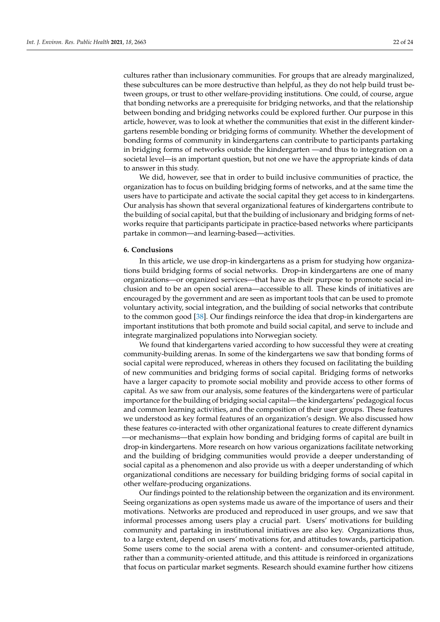cultures rather than inclusionary communities. For groups that are already marginalized, these subcultures can be more destructive than helpful, as they do not help build trust between groups, or trust to other welfare-providing institutions. One could, of course, argue that bonding networks are a prerequisite for bridging networks, and that the relationship between bonding and bridging networks could be explored further. Our purpose in this article, however, was to look at whether the communities that exist in the different kindergartens resemble bonding or bridging forms of community. Whether the development of bonding forms of community in kindergartens can contribute to participants partaking in bridging forms of networks outside the kindergarten —and thus to integration on a societal level—is an important question, but not one we have the appropriate kinds of data to answer in this study.

We did, however, see that in order to build inclusive communities of practice, the organization has to focus on building bridging forms of networks, and at the same time the users have to participate and activate the social capital they get access to in kindergartens. Our analysis has shown that several organizational features of kindergartens contribute to the building of social capital, but that the building of inclusionary and bridging forms of networks require that participants participate in practice-based networks where participants partake in common—and learning-based—activities.

#### **6. Conclusions**

In this article, we use drop-in kindergartens as a prism for studying how organizations build bridging forms of social networks. Drop-in kindergartens are one of many organizations—or organized services—that have as their purpose to promote social inclusion and to be an open social arena—accessible to all. These kinds of initiatives are encouraged by the government and are seen as important tools that can be used to promote voluntary activity, social integration, and the building of social networks that contribute to the common good [\[38\]](#page-23-24). Our findings reinforce the idea that drop-in kindergartens are important institutions that both promote and build social capital, and serve to include and integrate marginalized populations into Norwegian society.

We found that kindergartens varied according to how successful they were at creating community-building arenas. In some of the kindergartens we saw that bonding forms of social capital were reproduced, whereas in others they focused on facilitating the building of new communities and bridging forms of social capital. Bridging forms of networks have a larger capacity to promote social mobility and provide access to other forms of capital. As we saw from our analysis, some features of the kindergartens were of particular importance for the building of bridging social capital—the kindergartens' pedagogical focus and common learning activities, and the composition of their user groups. These features we understood as key formal features of an organization's design. We also discussed how these features co-interacted with other organizational features to create different dynamics —or mechanisms—that explain how bonding and bridging forms of capital are built in drop-in kindergartens. More research on how various organizations facilitate networking and the building of bridging communities would provide a deeper understanding of social capital as a phenomenon and also provide us with a deeper understanding of which organizational conditions are necessary for building bridging forms of social capital in other welfare-producing organizations.

Our findings pointed to the relationship between the organization and its environment. Seeing organizations as open systems made us aware of the importance of users and their motivations. Networks are produced and reproduced in user groups, and we saw that informal processes among users play a crucial part. Users' motivations for building community and partaking in institutional initiatives are also key. Organizations thus, to a large extent, depend on users' motivations for, and attitudes towards, participation. Some users come to the social arena with a content- and consumer-oriented attitude, rather than a community-oriented attitude, and this attitude is reinforced in organizations that focus on particular market segments. Research should examine further how citizens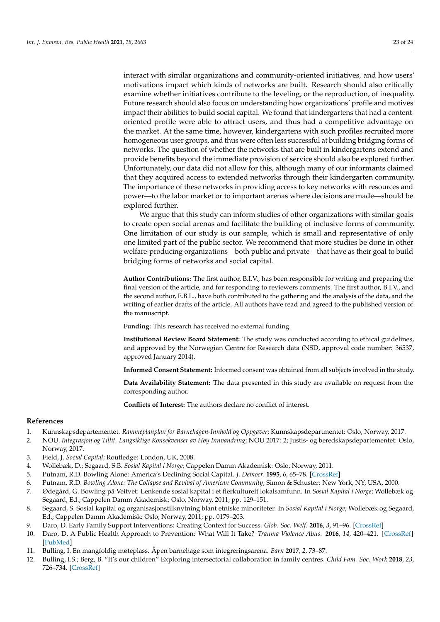interact with similar organizations and community-oriented initiatives, and how users' motivations impact which kinds of networks are built. Research should also critically examine whether initiatives contribute to the leveling, or the reproduction, of inequality. Future research should also focus on understanding how organizations' profile and motives impact their abilities to build social capital. We found that kindergartens that had a contentoriented profile were able to attract users, and thus had a competitive advantage on the market. At the same time, however, kindergartens with such profiles recruited more homogeneous user groups, and thus were often less successful at building bridging forms of networks. The question of whether the networks that are built in kindergartens extend and provide benefits beyond the immediate provision of service should also be explored further. Unfortunately, our data did not allow for this, although many of our informants claimed that they acquired access to extended networks through their kindergarten community. The importance of these networks in providing access to key networks with resources and power—to the labor market or to important arenas where decisions are made—should be explored further.

We argue that this study can inform studies of other organizations with similar goals to create open social arenas and facilitate the building of inclusive forms of community. One limitation of our study is our sample, which is small and representative of only one limited part of the public sector. We recommend that more studies be done in other welfare-producing organizations—both public and private—that have as their goal to build bridging forms of networks and social capital.

**Author Contributions:** The first author, B.I.V., has been responsible for writing and preparing the final version of the article, and for responding to reviewers comments. The first author, B.I.V., and the second author, E.B.L., have both contributed to the gathering and the analysis of the data, and the writing of earlier drafts of the article. All authors have read and agreed to the published version of the manuscript.

**Funding:** This research has received no external funding.

**Institutional Review Board Statement:** The study was conducted according to ethical guidelines, and approved by the Norwegian Centre for Research data (NSD, approval code number: 36537, approved January 2014).

**Informed Consent Statement:** Informed consent was obtained from all subjects involved in the study.

**Data Availability Statement:** The data presented in this study are available on request from the corresponding author.

**Conflicts of Interest:** The authors declare no conflict of interest.

#### **References**

- <span id="page-22-0"></span>1. Kunnskapsdepartementet. *Rammeplanplan for Barnehagen-Innhold og Oppgaver*; Kunnskapsdepartmentet: Oslo, Norway, 2017.
- <span id="page-22-1"></span>2. NOU. *Integrasjon og Tillit. Langsiktige Konsekvenser av Høy Innvandring*; NOU 2017: 2; Justis- og beredskapsdepartementet: Oslo, Norway, 2017.
- <span id="page-22-2"></span>3. Field, J. *Social Capital*; Routledge: London, UK, 2008.
- <span id="page-22-3"></span>4. Wollebæk, D.; Segaard, S.B. *Sosial Kapital i Norge*; Cappelen Damm Akademisk: Oslo, Norway, 2011.
- <span id="page-22-4"></span>5. Putnam, R.D. Bowling Alone: America's Declining Social Capital. *J. Democr.* **1995**, *6*, 65–78. [\[CrossRef\]](http://doi.org/10.1353/jod.1995.0002)
- <span id="page-22-11"></span>6. Putnam, R.D. *Bowling Alone: The Collapse and Revival of American Community*; Simon & Schuster: New York, NY, USA, 2000.
- <span id="page-22-5"></span>7. Ødegård, G. Bowling på Veitvet: Lenkende sosial kapital i et flerkulturelt lokalsamfunn. In *Sosial Kapital i Norge*; Wollebæk og Segaard, Ed.; Cappelen Damm Akademisk: Oslo, Norway, 2011; pp. 129–151.
- <span id="page-22-6"></span>8. Segaard, S. Sosial kapital og organisasjonstilknytning blant etniske minoriteter. In *Sosial Kapital i Norge*; Wollebæk og Segaard, Ed.; Cappelen Damm Akademisk: Oslo, Norway, 2011; pp. 0179–203.
- <span id="page-22-7"></span>9. Daro, D. Early Family Support Interventions: Creating Context for Success. *Glob. Soc. Welf.* **2016**, *3*, 91–96. [\[CrossRef\]](http://doi.org/10.1007/s40609-016-0048-2)
- <span id="page-22-8"></span>10. Daro, D. A Public Health Approach to Prevention: What Will It Take? *Trauma Violence Abus.* **2016**, *14*, 420–421. [\[CrossRef\]](http://doi.org/10.1177/1524838016658880) [\[PubMed\]](http://www.ncbi.nlm.nih.gov/pubmed/27580667)
- <span id="page-22-9"></span>11. Bulling, I. En mangfoldig møteplass. Åpen barnehage som integreringsarena. *Barn* **2017**, *2*, 73–87.
- <span id="page-22-10"></span>12. Bulling, I.S.; Berg, B. "It's our children" Exploring intersectorial collaboration in family centres. *Child Fam. Soc. Work* **2018**, *23*, 726–734. [\[CrossRef\]](http://doi.org/10.1111/cfs.12469)